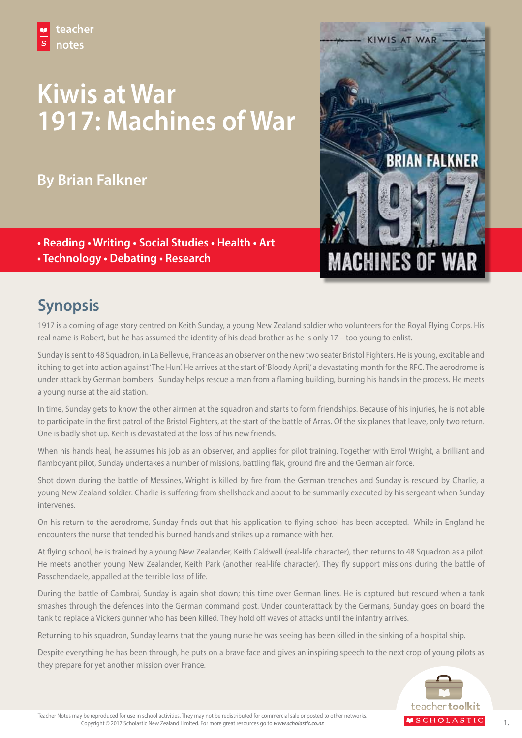# **Kiwis at War 1917: Machines of War**

# **By Brian Falkner**

- **Reading Writing Social Studies Health Art**
- **Technology Debating Research**



# **Synopsis**

1917 is a coming of age story centred on Keith Sunday, a young New Zealand soldier who volunteers for the Royal Flying Corps. His real name is Robert, but he has assumed the identity of his dead brother as he is only 17 – too young to enlist.

Sunday is sent to 48 Squadron, in La Bellevue, France as an observer on the new two seater Bristol Fighters. He is young, excitable and itching to get into action against 'The Hun'. He arrives at the start of 'Bloody April,' a devastating month for the RFC. The aerodrome is under attack by German bombers. Sunday helps rescue a man from a flaming building, burning his hands in the process. He meets a young nurse at the aid station.

In time, Sunday gets to know the other airmen at the squadron and starts to form friendships. Because of his injuries, he is not able to participate in the first patrol of the Bristol Fighters, at the start of the battle of Arras. Of the six planes that leave, only two return. One is badly shot up. Keith is devastated at the loss of his new friends.

When his hands heal, he assumes his job as an observer, and applies for pilot training. Together with Errol Wright, a brilliant and flamboyant pilot, Sunday undertakes a number of missions, battling flak, ground fire and the German air force.

Shot down during the battle of Messines, Wright is killed by fire from the German trenches and Sunday is rescued by Charlie, a young New Zealand soldier. Charlie is suffering from shellshock and about to be summarily executed by his sergeant when Sunday intervenes.

On his return to the aerodrome, Sunday finds out that his application to flying school has been accepted. While in England he encounters the nurse that tended his burned hands and strikes up a romance with her.

At flying school, he is trained by a young New Zealander, Keith Caldwell (real-life character), then returns to 48 Squadron as a pilot. He meets another young New Zealander, Keith Park (another real-life character). They fly support missions during the battle of Passchendaele, appalled at the terrible loss of life.

During the battle of Cambrai, Sunday is again shot down; this time over German lines. He is captured but rescued when a tank smashes through the defences into the German command post. Under counterattack by the Germans, Sunday goes on board the tank to replace a Vickers gunner who has been killed. They hold off waves of attacks until the infantry arrives.

Returning to his squadron, Sunday learns that the young nurse he was seeing has been killed in the sinking of a hospital ship.

Despite everything he has been through, he puts on a brave face and gives an inspiring speech to the next crop of young pilots as they prepare for yet another mission over France.

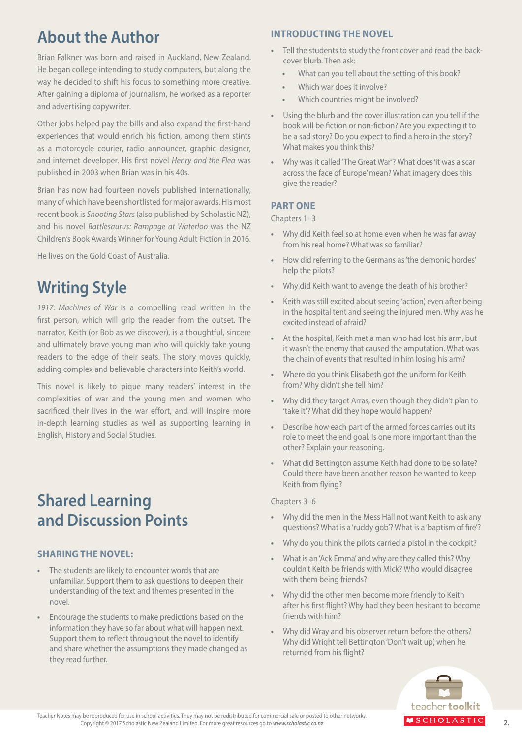# **About the Author**

Brian Falkner was born and raised in Auckland, New Zealand. He began college intending to study computers, but along the way he decided to shift his focus to something more creative. After gaining a diploma of journalism, he worked as a reporter and advertising copywriter.

Other jobs helped pay the bills and also expand the first-hand experiences that would enrich his fiction, among them stints as a motorcycle courier, radio announcer, graphic designer, and internet developer. His first novel *Henry and the Flea* was published in 2003 when Brian was in his 40s.

Brian has now had fourteen novels published internationally, many of which have been shortlisted for major awards. His most recent book is *Shooting Stars* (also published by Scholastic NZ), and his novel *Battlesaurus: Rampage at Waterloo* was the NZ Children's Book Awards Winner for Young Adult Fiction in 2016.

He lives on the Gold Coast of Australia.

# **Writing Style**

*1917: Machines of War* is a compelling read written in the first person, which will grip the reader from the outset. The narrator, Keith (or Bob as we discover), is a thoughtful, sincere and ultimately brave young man who will quickly take young readers to the edge of their seats. The story moves quickly, adding complex and believable characters into Keith's world.

This novel is likely to pique many readers' interest in the complexities of war and the young men and women who sacrificed their lives in the war effort, and will inspire more in-depth learning studies as well as supporting learning in English, History and Social Studies.

# **Shared Learning and Discussion Points**

# **SHARING THE NOVEL:**

- **•** The students are likely to encounter words that are unfamiliar. Support them to ask questions to deepen their understanding of the text and themes presented in the novel.
- **•** Encourage the students to make predictions based on the information they have so far about what will happen next. Support them to reflect throughout the novel to identify and share whether the assumptions they made changed as they read further.

### **INTRODUCTING THE NOVEL**

- **•** Tell the students to study the front cover and read the backcover blurb. Then ask:
	- **•** What can you tell about the setting of this book?
	- **•** Which war does it involve?
	- **•** Which countries might be involved?
- **•** Using the blurb and the cover illustration can you tell if the book will be fiction or non-fiction? Are you expecting it to be a sad story? Do you expect to find a hero in the story? What makes you think this?
- **•** Why was it called 'The Great War'? What does 'it was a scar across the face of Europe' mean? What imagery does this give the reader?

# **PART ONE**

Chapters 1–3

- **•** Why did Keith feel so at home even when he was far away from his real home? What was so familiar?
- **•** How did referring to the Germans as 'the demonic hordes' help the pilots?
- **•** Why did Keith want to avenge the death of his brother?
- **•** Keith was still excited about seeing 'action', even after being in the hospital tent and seeing the injured men. Why was he excited instead of afraid?
- **•** At the hospital, Keith met a man who had lost his arm, but it wasn't the enemy that caused the amputation. What was the chain of events that resulted in him losing his arm?
- **•** Where do you think Elisabeth got the uniform for Keith from? Why didn't she tell him?
- **•** Why did they target Arras, even though they didn't plan to 'take it'? What did they hope would happen?
- **•** Describe how each part of the armed forces carries out its role to meet the end goal. Is one more important than the other? Explain your reasoning.
- **•** What did Bettington assume Keith had done to be so late? Could there have been another reason he wanted to keep Keith from flying?

#### Chapters 3–6

- **•** Why did the men in the Mess Hall not want Keith to ask any questions? What is a 'ruddy gob'? What is a 'baptism of fire'?
- **•** Why do you think the pilots carried a pistol in the cockpit?
- **•** What is an 'Ack Emma' and why are they called this? Why couldn't Keith be friends with Mick? Who would disagree with them being friends?
- **•** Why did the other men become more friendly to Keith after his first flight? Why had they been hesitant to become friends with him?
- **•** Why did Wray and his observer return before the others? Why did Wright tell Bettington 'Don't wait up', when he returned from his flight?

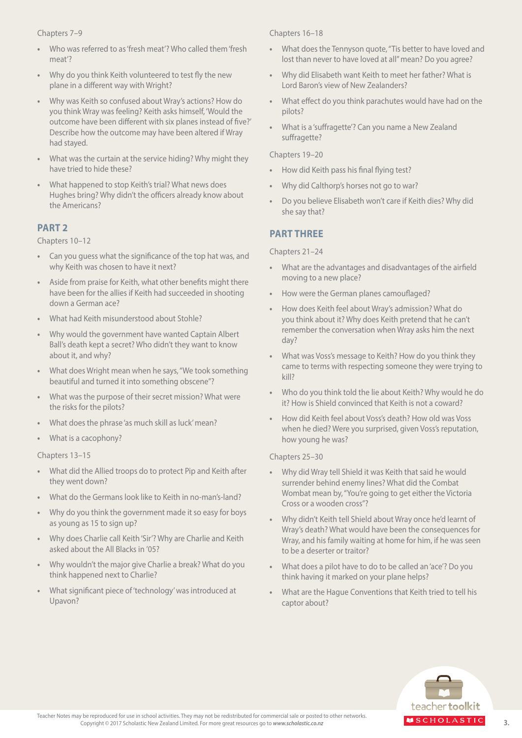Chapters 7–9

- **•** Who was referred to as 'fresh meat'? Who called them 'fresh meat'?
- **•** Why do you think Keith volunteered to test fly the new plane in a different way with Wright?
- **•** Why was Keith so confused about Wray's actions? How do you think Wray was feeling? Keith asks himself, 'Would the outcome have been different with six planes instead of five?' Describe how the outcome may have been altered if Wray had stayed.
- **•** What was the curtain at the service hiding? Why might they have tried to hide these?
- **•** What happened to stop Keith's trial? What news does Hughes bring? Why didn't the officers already know about the Americans?

### **PART 2**

Chapters 10–12

- **•** Can you guess what the significance of the top hat was, and why Keith was chosen to have it next?
- **•** Aside from praise for Keith, what other benefits might there have been for the allies if Keith had succeeded in shooting down a German ace?
- **•** What had Keith misunderstood about Stohle?
- **•** Why would the government have wanted Captain Albert Ball's death kept a secret? Who didn't they want to know about it, and why?
- **•** What does Wright mean when he says, "We took something beautiful and turned it into something obscene"?
- **•** What was the purpose of their secret mission? What were the risks for the pilots?
- **•** What does the phrase 'as much skill as luck' mean?
- **•** What is a cacophony?

#### Chapters 13–15

- **•** What did the Allied troops do to protect Pip and Keith after they went down?
- **•** What do the Germans look like to Keith in no-man's-land?
- **•** Why do you think the government made it so easy for boys as young as 15 to sign up?
- **•** Why does Charlie call Keith 'Sir'? Why are Charlie and Keith asked about the All Blacks in '05?
- **•** Why wouldn't the major give Charlie a break? What do you think happened next to Charlie?
- **•** What significant piece of 'technology' was introduced at Upavon?

Chapters 16–18

- **•** What does the Tennyson quote, "Tis better to have loved and lost than never to have loved at all" mean? Do you agree?
- **•** Why did Elisabeth want Keith to meet her father? What is Lord Baron's view of New Zealanders?
- **•** What effect do you think parachutes would have had on the pilots?
- **•** What is a 'suffragette'? Can you name a New Zealand suffragette?

#### Chapters 19–20

- **•** How did Keith pass his final flying test?
- Why did Calthorp's horses not go to war?
- **•** Do you believe Elisabeth won't care if Keith dies? Why did she say that?

# **PART THREE**

Chapters 21–24

- **•** What are the advantages and disadvantages of the airfield moving to a new place?
- **•** How were the German planes camouflaged?
- **•** How does Keith feel about Wray's admission? What do you think about it? Why does Keith pretend that he can't remember the conversation when Wray asks him the next day?
- **•** What was Voss's message to Keith? How do you think they came to terms with respecting someone they were trying to kill?
- **•** Who do you think told the lie about Keith? Why would he do it? How is Shield convinced that Keith is not a coward?
- **•** How did Keith feel about Voss's death? How old was Voss when he died? Were you surprised, given Voss's reputation, how young he was?

#### Chapters 25–30

- **•** Why did Wray tell Shield it was Keith that said he would surrender behind enemy lines? What did the Combat Wombat mean by, "You're going to get either the Victoria Cross or a wooden cross"?
- **•** Why didn't Keith tell Shield about Wray once he'd learnt of Wray's death? What would have been the consequences for Wray, and his family waiting at home for him, if he was seen to be a deserter or traitor?
- **•** What does a pilot have to do to be called an 'ace'? Do you think having it marked on your plane helps?
- **•** What are the Hague Conventions that Keith tried to tell his captor about?